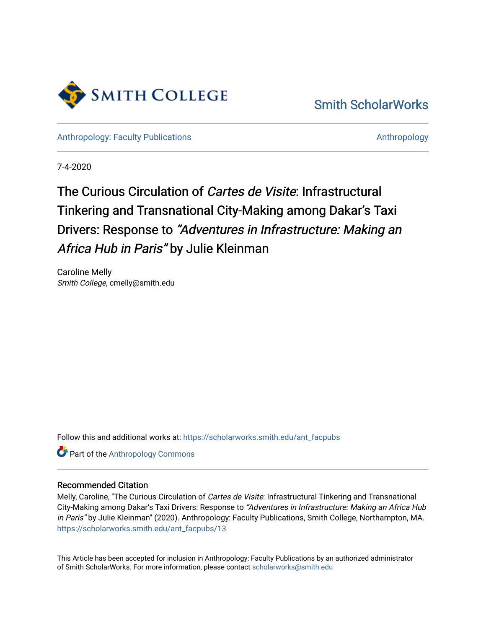

### [Smith ScholarWorks](https://scholarworks.smith.edu/)

[Anthropology: Faculty Publications](https://scholarworks.smith.edu/ant_facpubs) **Anthropology** Anthropology

7-4-2020

## The Curious Circulation of Cartes de Visite: Infrastructural Tinkering and Transnational City-Making among Dakar's Taxi Drivers: Response to "Adventures in Infrastructure: Making an Africa Hub in Paris" by Julie Kleinman

Caroline Melly Smith College, cmelly@smith.edu

Follow this and additional works at: [https://scholarworks.smith.edu/ant\\_facpubs](https://scholarworks.smith.edu/ant_facpubs?utm_source=scholarworks.smith.edu%2Fant_facpubs%2F13&utm_medium=PDF&utm_campaign=PDFCoverPages) 

**Part of the [Anthropology Commons](https://network.bepress.com/hgg/discipline/318?utm_source=scholarworks.smith.edu%2Fant_facpubs%2F13&utm_medium=PDF&utm_campaign=PDFCoverPages)** 

#### Recommended Citation

Melly, Caroline, "The Curious Circulation of Cartes de Visite: Infrastructural Tinkering and Transnational City-Making among Dakar's Taxi Drivers: Response to "Adventures in Infrastructure: Making an Africa Hub in Paris" by Julie Kleinman" (2020). Anthropology: Faculty Publications, Smith College, Northampton, MA. [https://scholarworks.smith.edu/ant\\_facpubs/13](https://scholarworks.smith.edu/ant_facpubs/13?utm_source=scholarworks.smith.edu%2Fant_facpubs%2F13&utm_medium=PDF&utm_campaign=PDFCoverPages)

This Article has been accepted for inclusion in Anthropology: Faculty Publications by an authorized administrator of Smith ScholarWorks. For more information, please contact [scholarworks@smith.edu](mailto:scholarworks@smith.edu)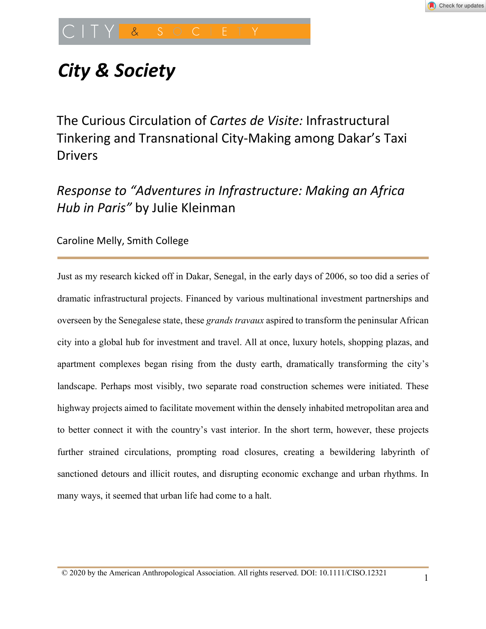# *City & Society*

The Curious Circulation of *Cartes de Visite:* Infrastructural Tinkering and Transnational City-Making among Dakar's Taxi Drivers

## *Response to "Adventures in Infrastructure: Making an Africa Hub in Paris"* by Julie Kleinman

Caroline Melly, Smith College

Just as my research kicked off in Dakar, Senegal, in the early days of 2006, so too did a series of dramatic infrastructural projects. Financed by various multinational investment partnerships and overseen by the Senegalese state, these *grands travaux* aspired to transform the peninsular African city into a global hub for investment and travel. All at once, luxury hotels, shopping plazas, and apartment complexes began rising from the dusty earth, dramatically transforming the city's landscape. Perhaps most visibly, two separate road construction schemes were initiated. These highway projects aimed to facilitate movement within the densely inhabited metropolitan area and to better connect it with the country's vast interior. In the short term, however, these projects further strained circulations, prompting road closures, creating a bewildering labyrinth of sanctioned detours and illicit routes, and disrupting economic exchange and urban rhythms. In many ways, it seemed that urban life had come to a halt.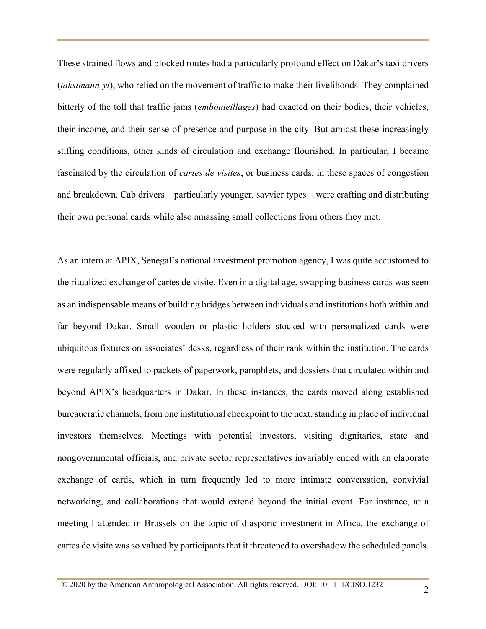These strained flows and blocked routes had a particularly profound effect on Dakar's taxi drivers (*taksimann-yi*), who relied on the movement of traffic to make their livelihoods. They complained bitterly of the toll that traffic jams (*embouteillages*) had exacted on their bodies, their vehicles, their income, and their sense of presence and purpose in the city. But amidst these increasingly stifling conditions, other kinds of circulation and exchange flourished. In particular, I became fascinated by the circulation of *cartes de visites*, or business cards, in these spaces of congestion and breakdown. Cab drivers—particularly younger, savvier types—were crafting and distributing their own personal cards while also amassing small collections from others they met.

As an intern at APIX, Senegal's national investment promotion agency, I was quite accustomed to the ritualized exchange of cartes de visite. Even in a digital age, swapping business cards was seen as an indispensable means of building bridges between individuals and institutions both within and far beyond Dakar. Small wooden or plastic holders stocked with personalized cards were ubiquitous fixtures on associates' desks, regardless of their rank within the institution. The cards were regularly affixed to packets of paperwork, pamphlets, and dossiers that circulated within and beyond APIX's headquarters in Dakar. In these instances, the cards moved along established bureaucratic channels, from one institutional checkpoint to the next, standing in place of individual investors themselves. Meetings with potential investors, visiting dignitaries, state and nongovernmental officials, and private sector representatives invariably ended with an elaborate exchange of cards, which in turn frequently led to more intimate conversation, convivial networking, and collaborations that would extend beyond the initial event. For instance, at a meeting I attended in Brussels on the topic of diasporic investment in Africa, the exchange of cartes de visite was so valued by participants that it threatened to overshadow the scheduled panels.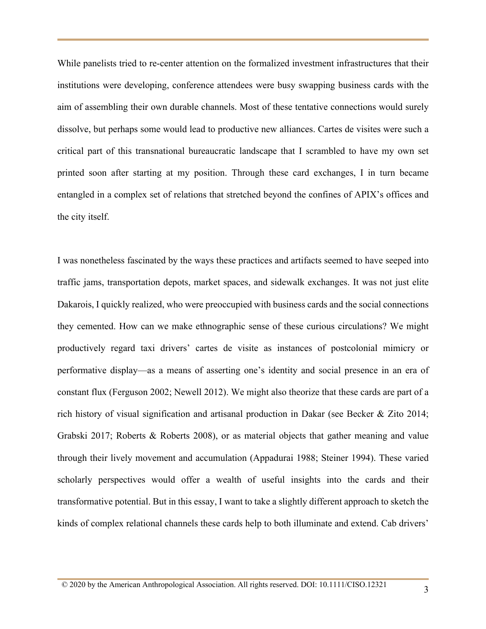While panelists tried to re-center attention on the formalized investment infrastructures that their institutions were developing, conference attendees were busy swapping business cards with the aim of assembling their own durable channels. Most of these tentative connections would surely dissolve, but perhaps some would lead to productive new alliances. Cartes de visites were such a critical part of this transnational bureaucratic landscape that I scrambled to have my own set printed soon after starting at my position. Through these card exchanges, I in turn became entangled in a complex set of relations that stretched beyond the confines of APIX's offices and the city itself.

I was nonetheless fascinated by the ways these practices and artifacts seemed to have seeped into traffic jams, transportation depots, market spaces, and sidewalk exchanges. It was not just elite Dakarois, I quickly realized, who were preoccupied with business cards and the social connections they cemented. How can we make ethnographic sense of these curious circulations? We might productively regard taxi drivers' cartes de visite as instances of postcolonial mimicry or performative display—as a means of asserting one's identity and social presence in an era of constant flux (Ferguson 2002; Newell 2012). We might also theorize that these cards are part of a rich history of visual signification and artisanal production in Dakar (see Becker & Zito 2014; Grabski 2017; Roberts & Roberts 2008), or as material objects that gather meaning and value through their lively movement and accumulation (Appadurai 1988; Steiner 1994). These varied scholarly perspectives would offer a wealth of useful insights into the cards and their transformative potential. But in this essay, I want to take a slightly different approach to sketch the kinds of complex relational channels these cards help to both illuminate and extend. Cab drivers'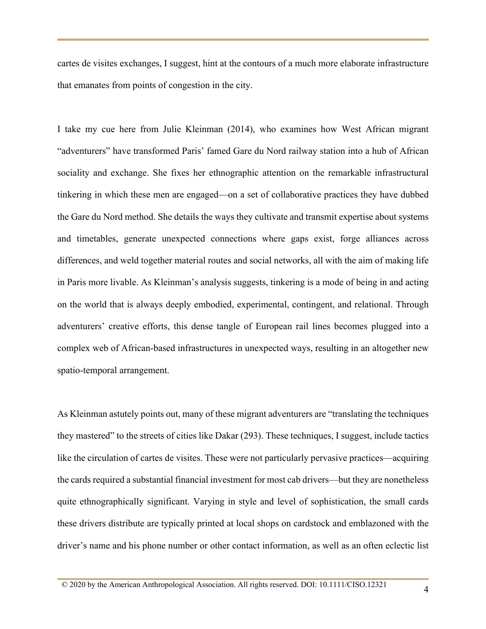cartes de visites exchanges, I suggest, hint at the contours of a much more elaborate infrastructure that emanates from points of congestion in the city.

I take my cue here from Julie Kleinman (2014), who examines how West African migrant "adventurers" have transformed Paris' famed Gare du Nord railway station into a hub of African sociality and exchange. She fixes her ethnographic attention on the remarkable infrastructural tinkering in which these men are engaged—on a set of collaborative practices they have dubbed the Gare du Nord method. She details the ways they cultivate and transmit expertise about systems and timetables, generate unexpected connections where gaps exist, forge alliances across differences, and weld together material routes and social networks, all with the aim of making life in Paris more livable. As Kleinman's analysis suggests, tinkering is a mode of being in and acting on the world that is always deeply embodied, experimental, contingent, and relational. Through adventurers' creative efforts, this dense tangle of European rail lines becomes plugged into a complex web of African-based infrastructures in unexpected ways, resulting in an altogether new spatio-temporal arrangement.

As Kleinman astutely points out, many of these migrant adventurers are "translating the techniques they mastered" to the streets of cities like Dakar (293). These techniques, I suggest, include tactics like the circulation of cartes de visites. These were not particularly pervasive practices—acquiring the cards required a substantial financial investment for most cab drivers—but they are nonetheless quite ethnographically significant. Varying in style and level of sophistication, the small cards these drivers distribute are typically printed at local shops on cardstock and emblazoned with the driver's name and his phone number or other contact information, as well as an often eclectic list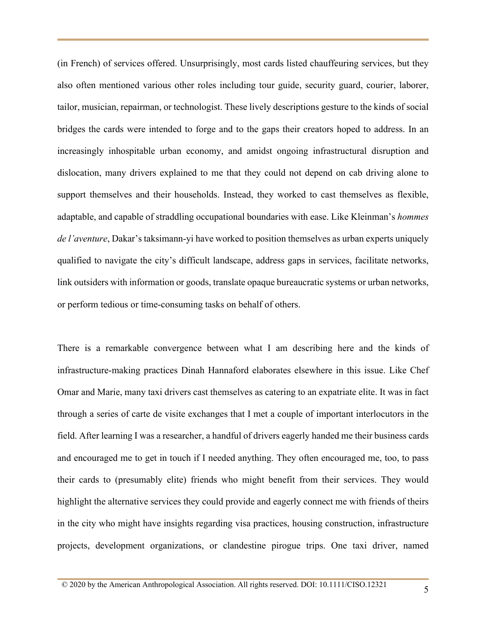(in French) of services offered. Unsurprisingly, most cards listed chauffeuring services, but they also often mentioned various other roles including tour guide, security guard, courier, laborer, tailor, musician, repairman, or technologist. These lively descriptions gesture to the kinds of social bridges the cards were intended to forge and to the gaps their creators hoped to address. In an increasingly inhospitable urban economy, and amidst ongoing infrastructural disruption and dislocation, many drivers explained to me that they could not depend on cab driving alone to support themselves and their households. Instead, they worked to cast themselves as flexible, adaptable, and capable of straddling occupational boundaries with ease. Like Kleinman's *hommes de l'aventure*, Dakar's taksimann-yi have worked to position themselves as urban experts uniquely qualified to navigate the city's difficult landscape, address gaps in services, facilitate networks, link outsiders with information or goods, translate opaque bureaucratic systems or urban networks, or perform tedious or time-consuming tasks on behalf of others.

There is a remarkable convergence between what I am describing here and the kinds of infrastructure-making practices Dinah Hannaford elaborates elsewhere in this issue. Like Chef Omar and Marie, many taxi drivers cast themselves as catering to an expatriate elite. It was in fact through a series of carte de visite exchanges that I met a couple of important interlocutors in the field. After learning I was a researcher, a handful of drivers eagerly handed me their business cards and encouraged me to get in touch if I needed anything. They often encouraged me, too, to pass their cards to (presumably elite) friends who might benefit from their services. They would highlight the alternative services they could provide and eagerly connect me with friends of theirs in the city who might have insights regarding visa practices, housing construction, infrastructure projects, development organizations, or clandestine pirogue trips. One taxi driver, named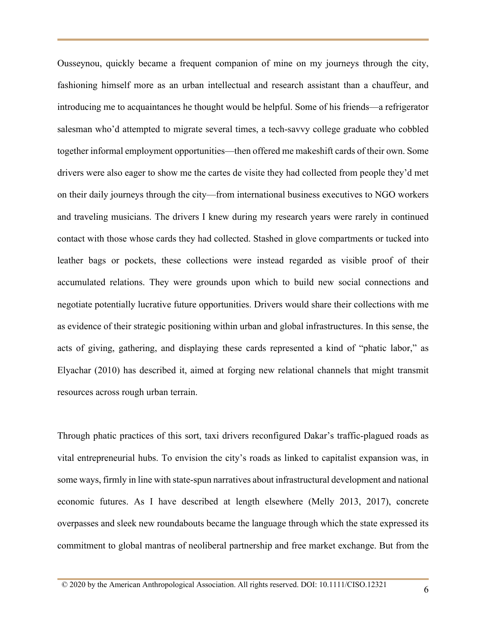Ousseynou, quickly became a frequent companion of mine on my journeys through the city, fashioning himself more as an urban intellectual and research assistant than a chauffeur, and introducing me to acquaintances he thought would be helpful. Some of his friends—a refrigerator salesman who'd attempted to migrate several times, a tech-savvy college graduate who cobbled together informal employment opportunities—then offered me makeshift cards of their own. Some drivers were also eager to show me the cartes de visite they had collected from people they'd met on their daily journeys through the city—from international business executives to NGO workers and traveling musicians. The drivers I knew during my research years were rarely in continued contact with those whose cards they had collected. Stashed in glove compartments or tucked into leather bags or pockets, these collections were instead regarded as visible proof of their accumulated relations. They were grounds upon which to build new social connections and negotiate potentially lucrative future opportunities. Drivers would share their collections with me as evidence of their strategic positioning within urban and global infrastructures. In this sense, the acts of giving, gathering, and displaying these cards represented a kind of "phatic labor," as Elyachar (2010) has described it, aimed at forging new relational channels that might transmit resources across rough urban terrain.

Through phatic practices of this sort, taxi drivers reconfigured Dakar's traffic-plagued roads as vital entrepreneurial hubs. To envision the city's roads as linked to capitalist expansion was, in some ways, firmly in line with state-spun narratives about infrastructural development and national economic futures. As I have described at length elsewhere (Melly 2013, 2017), concrete overpasses and sleek new roundabouts became the language through which the state expressed its commitment to global mantras of neoliberal partnership and free market exchange. But from the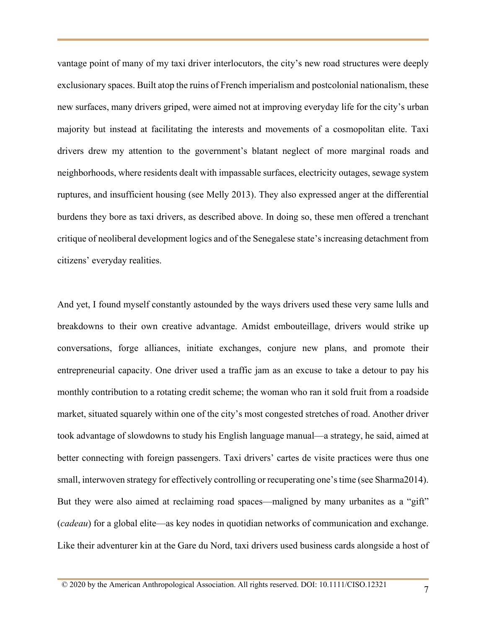vantage point of many of my taxi driver interlocutors, the city's new road structures were deeply exclusionary spaces. Built atop the ruins of French imperialism and postcolonial nationalism, these new surfaces, many drivers griped, were aimed not at improving everyday life for the city's urban majority but instead at facilitating the interests and movements of a cosmopolitan elite. Taxi drivers drew my attention to the government's blatant neglect of more marginal roads and neighborhoods, where residents dealt with impassable surfaces, electricity outages, sewage system ruptures, and insufficient housing (see Melly 2013). They also expressed anger at the differential burdens they bore as taxi drivers, as described above. In doing so, these men offered a trenchant critique of neoliberal development logics and of the Senegalese state's increasing detachment from citizens' everyday realities.

And yet, I found myself constantly astounded by the ways drivers used these very same lulls and breakdowns to their own creative advantage. Amidst embouteillage, drivers would strike up conversations, forge alliances, initiate exchanges, conjure new plans, and promote their entrepreneurial capacity. One driver used a traffic jam as an excuse to take a detour to pay his monthly contribution to a rotating credit scheme; the woman who ran it sold fruit from a roadside market, situated squarely within one of the city's most congested stretches of road. Another driver took advantage of slowdowns to study his English language manual—a strategy, he said, aimed at better connecting with foreign passengers. Taxi drivers' cartes de visite practices were thus one small, interwoven strategy for effectively controlling or recuperating one's time (see Sharma2014). But they were also aimed at reclaiming road spaces—maligned by many urbanites as a "gift" (*cadeau*) for a global elite—as key nodes in quotidian networks of communication and exchange. Like their adventurer kin at the Gare du Nord, taxi drivers used business cards alongside a host of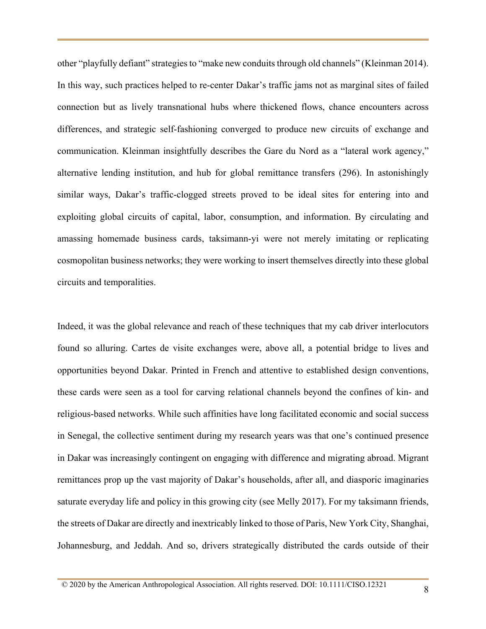other "playfully defiant" strategies to "make new conduits through old channels" (Kleinman 2014). In this way, such practices helped to re-center Dakar's traffic jams not as marginal sites of failed connection but as lively transnational hubs where thickened flows, chance encounters across differences, and strategic self-fashioning converged to produce new circuits of exchange and communication. Kleinman insightfully describes the Gare du Nord as a "lateral work agency," alternative lending institution, and hub for global remittance transfers (296). In astonishingly similar ways, Dakar's traffic-clogged streets proved to be ideal sites for entering into and exploiting global circuits of capital, labor, consumption, and information. By circulating and amassing homemade business cards, taksimann-yi were not merely imitating or replicating cosmopolitan business networks; they were working to insert themselves directly into these global circuits and temporalities.

Indeed, it was the global relevance and reach of these techniques that my cab driver interlocutors found so alluring. Cartes de visite exchanges were, above all, a potential bridge to lives and opportunities beyond Dakar. Printed in French and attentive to established design conventions, these cards were seen as a tool for carving relational channels beyond the confines of kin- and religious-based networks. While such affinities have long facilitated economic and social success in Senegal, the collective sentiment during my research years was that one's continued presence in Dakar was increasingly contingent on engaging with difference and migrating abroad. Migrant remittances prop up the vast majority of Dakar's households, after all, and diasporic imaginaries saturate everyday life and policy in this growing city (see Melly 2017). For my taksimann friends, the streets of Dakar are directly and inextricably linked to those of Paris, New York City, Shanghai, Johannesburg, and Jeddah. And so, drivers strategically distributed the cards outside of their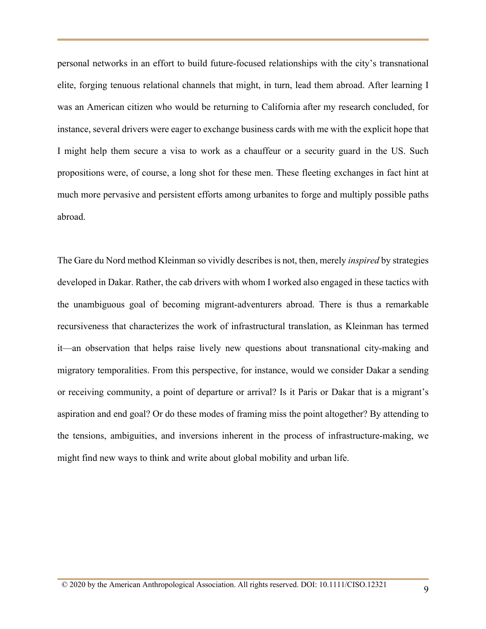personal networks in an effort to build future-focused relationships with the city's transnational elite, forging tenuous relational channels that might, in turn, lead them abroad. After learning I was an American citizen who would be returning to California after my research concluded, for instance, several drivers were eager to exchange business cards with me with the explicit hope that I might help them secure a visa to work as a chauffeur or a security guard in the US. Such propositions were, of course, a long shot for these men. These fleeting exchanges in fact hint at much more pervasive and persistent efforts among urbanites to forge and multiply possible paths abroad.

The Gare du Nord method Kleinman so vividly describes is not, then, merely *inspired* by strategies developed in Dakar. Rather, the cab drivers with whom I worked also engaged in these tactics with the unambiguous goal of becoming migrant-adventurers abroad. There is thus a remarkable recursiveness that characterizes the work of infrastructural translation, as Kleinman has termed it—an observation that helps raise lively new questions about transnational city-making and migratory temporalities. From this perspective, for instance, would we consider Dakar a sending or receiving community, a point of departure or arrival? Is it Paris or Dakar that is a migrant's aspiration and end goal? Or do these modes of framing miss the point altogether? By attending to the tensions, ambiguities, and inversions inherent in the process of infrastructure-making, we might find new ways to think and write about global mobility and urban life.